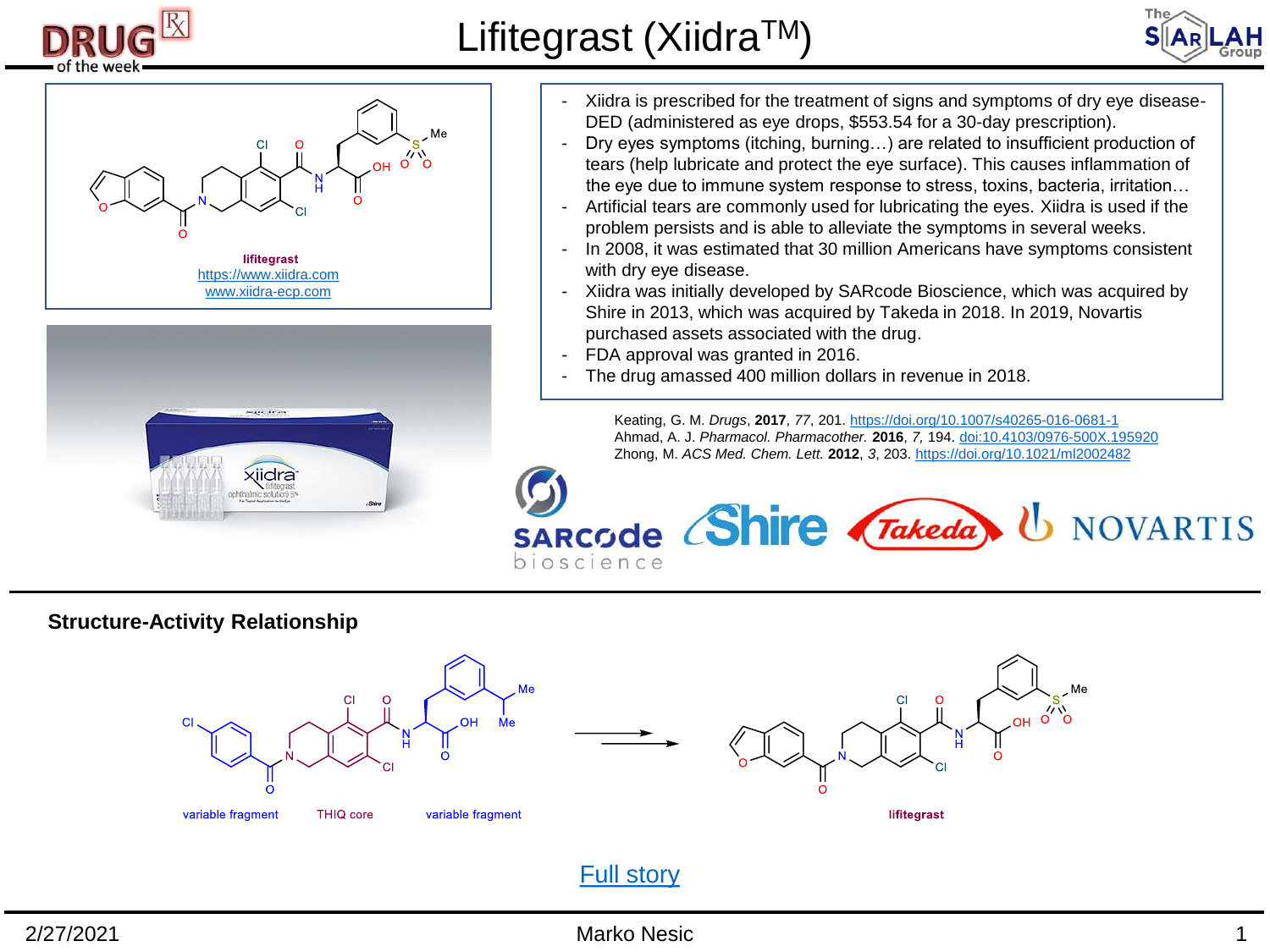

# Lifitegrast (Xiidra™)







- Xiidra is prescribed for the treatment of signs and symptoms of dry eye disease-DED (administered as eye drops, \$553.54 for a 30-day prescription).
- Dry eyes symptoms (itching, burning…) are related to insufficient production of tears (help lubricate and protect the eye surface). This causes inflammation of the eye due to immune system response to stress, toxins, bacteria, irritation…
- Artificial tears are commonly used for lubricating the eyes. Xiidra is used if the problem persists and is able to alleviate the symptoms in several weeks.
- In 2008, it was estimated that 30 million Americans have symptoms consistent with dry eye disease.
- Xiidra was initially developed by SARcode Bioscience, which was acquired by Shire in 2013, which was acquired by Takeda in 2018. In 2019, Novartis purchased assets associated with the drug.
- FDA approval was granted in 2016.
- The drug amassed 400 million dollars in revenue in 2018.

Keating, G. M. *Drugs*, **2017**, *77*, 201. <https://doi.org/10.1007/s40265-016-0681-1> Ahmad, A. J. *Pharmacol. Pharmacother.* **2016**, *7,* 194. [doi:10.4103/0976-500X.195920](https://www.jpharmacol.com/article.asp?issn=0976-500X;year=2016;volume=7;issue=4;spage=194;epage=198;aulast=Abidi) Zhong, M. *ACS Med. Chem. Lett.* **2012**, *3*, 203. <https://doi.org/10.1021/ml2002482>

**U** NOVARTIS SARCOde Shire Takeda bioscience

### **Structure-Activity Relationship**



## [Full story](https://www.ibiology.org/human-disease/development-lifitegrast-treat-dry-eye-syndrome/)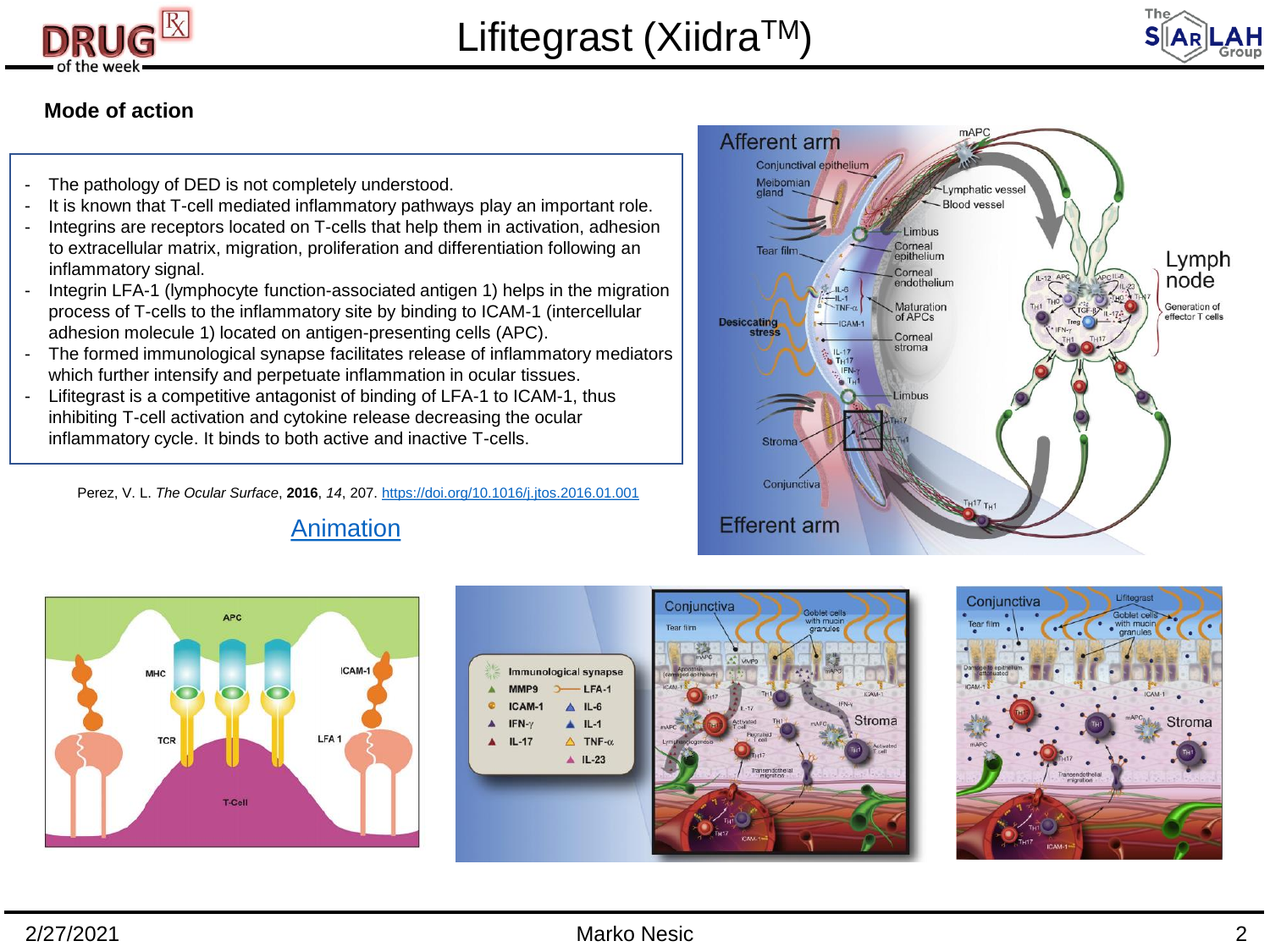



### **Mode of action**

- The pathology of DED is not completely understood.
- It is known that T-cell mediated inflammatory pathways play an important role.
- Integrins are receptors located on T-cells that help them in activation, adhesion to extracellular matrix, migration, proliferation and differentiation following an inflammatory signal.
- Integrin LFA-1 (lymphocyte function-associated antigen 1) helps in the migration process of T-cells to the inflammatory site by binding to ICAM-1 (intercellular adhesion molecule 1) located on antigen-presenting cells (APC).
- The formed immunological synapse facilitates release of inflammatory mediators which further intensify and perpetuate inflammation in ocular tissues.
- Lifitegrast is a competitive antagonist of binding of LFA-1 to ICAM-1, thus inhibiting T-cell activation and cytokine release decreasing the ocular inflammatory cycle. It binds to both active and inactive T-cells.

Perez, V. L. *The Ocular Surface*, **2016**, *14*, 207.<https://doi.org/10.1016/j.jtos.2016.01.001>











[Animation](https://www.xiidra-ecp.com/mechanism-of-action?utm_medium=cpc&utm_term=xiidra&utm_content=core_exact_exact&utm_source=google&utm_campaign=2018_b_hcp_xiidrabrandedhcp_branded - general)